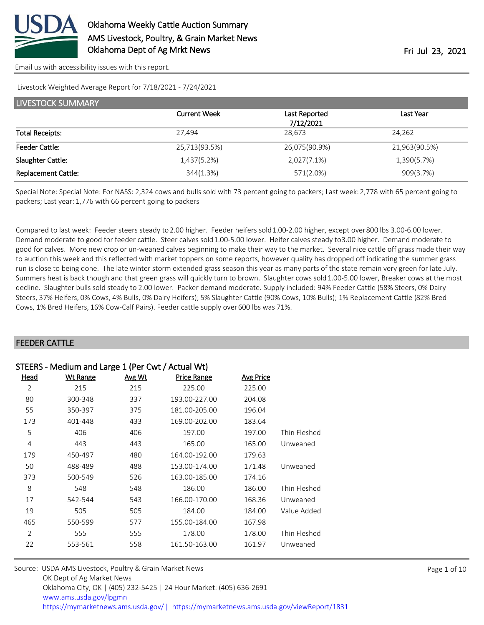

[Email us with accessibility issues with this report.](mailto:mars@ams.usda.gov?subject=508%20issue)

Livestock Weighted Average Report for 7/18/2021 - 7/24/2021

| LIVESTOCK SUMMARY          |                     |               |               |  |  |  |
|----------------------------|---------------------|---------------|---------------|--|--|--|
|                            | <b>Current Week</b> | Last Reported | Last Year     |  |  |  |
|                            |                     | 7/12/2021     |               |  |  |  |
| <b>Total Receipts:</b>     | 27,494              | 28,673        | 24,262        |  |  |  |
| <b>Feeder Cattle:</b>      | 25,713(93.5%)       | 26,075(90.9%) | 21,963(90.5%) |  |  |  |
| Slaughter Cattle:          | 1,437(5.2%)         | 2,027(7.1%)   | 1,390(5.7%)   |  |  |  |
| <b>Replacement Cattle:</b> | 344(1.3%)           | 571(2.0%)     | 909(3.7%)     |  |  |  |

Special Note: Special Note: For NASS: 2,324 cows and bulls sold with 73 percent going to packers; Last week: 2,778 with 65 percent going to packers; Last year: 1,776 with 66 percent going to packers

Compared to last week: Feeder steers steady to 2.00 higher. Feeder heifers sold 1.00-2.00 higher, except over 800 lbs 3.00-6.00 lower. Demand moderate to good for feeder cattle. Steer calves sold 1.00-5.00 lower. Heifer calves steady to 3.00 higher. Demand moderate to good for calves. More new crop or un-weaned calves beginning to make their way to the market. Several nice cattle off grass made their way to auction this week and this reflected with market toppers on some reports, however quality has dropped off indicating the summer grass run is close to being done. The late winter storm extended grass season this year as many parts of the state remain very green for late July. Summers heat is back though and that green grass will quickly turn to brown. Slaughter cows sold 1.00-5.00 lower, Breaker cows at the most decline. Slaughter bulls sold steady to 2.00 lower. Packer demand moderate. Supply included: 94% Feeder Cattle (58% Steers, 0% Dairy Steers, 37% Heifers, 0% Cows, 4% Bulls, 0% Dairy Heifers); 5% Slaughter Cattle (90% Cows, 10% Bulls); 1% Replacement Cattle (82% Bred Cows, 1% Bred Heifers, 16% Cow-Calf Pairs). Feeder cattle supply over 600 lbs was 71%.

#### FEEDER CATTLE

| STEERS - Medium and Large 1 (Per Cwt / Actual Wt) |                 |        |               |           |              |
|---------------------------------------------------|-----------------|--------|---------------|-----------|--------------|
| Head                                              | <b>Wt Range</b> | Avg Wt | Price Range   | Avg Price |              |
| $\overline{2}$                                    | 215             | 215    | 225.00        | 225.00    |              |
| 80                                                | 300-348         | 337    | 193.00-227.00 | 204.08    |              |
| 55                                                | 350-397         | 375    | 181.00-205.00 | 196.04    |              |
| 173                                               | 401-448         | 433    | 169.00-202.00 | 183.64    |              |
| 5                                                 | 406             | 406    | 197.00        | 197.00    | Thin Fleshed |
| 4                                                 | 443             | 443    | 165.00        | 165.00    | Unweaned     |
| 179                                               | 450-497         | 480    | 164.00-192.00 | 179.63    |              |
| 50                                                | 488-489         | 488    | 153.00-174.00 | 171.48    | Unweaned     |
| 373                                               | 500-549         | 526    | 163.00-185.00 | 174.16    |              |
| 8                                                 | 548             | 548    | 186.00        | 186.00    | Thin Fleshed |
| 17                                                | 542-544         | 543    | 166.00-170.00 | 168.36    | Unweaned     |
| 19                                                | 505             | 505    | 184.00        | 184.00    | Value Added  |
| 465                                               | 550-599         | 577    | 155.00-184.00 | 167.98    |              |
| 2                                                 | 555             | 555    | 178.00        | 178.00    | Thin Fleshed |
| 22                                                | 553-561         | 558    | 161.50-163.00 | 161.97    | Unweaned     |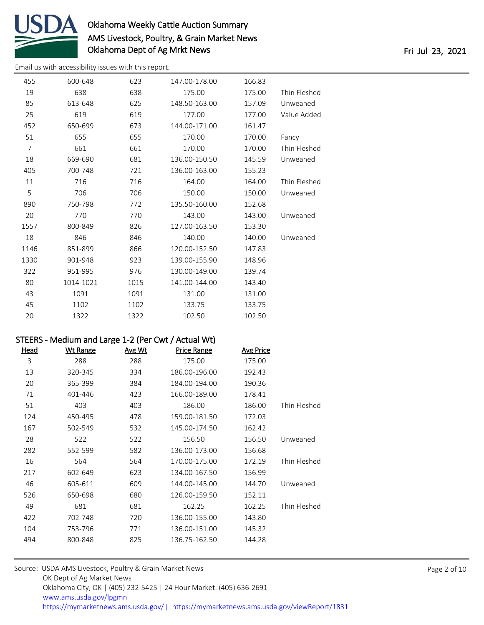

[Email us with accessibility issues with this report.](mailto:mars@ams.usda.gov?subject=508%20issue)

| 455            | 600-648   | 623  | 147.00-178.00 | 166.83 |              |
|----------------|-----------|------|---------------|--------|--------------|
| 19             | 638       | 638  | 175.00        | 175.00 | Thin Fleshed |
| 85             | 613-648   | 625  | 148.50-163.00 | 157.09 | Unweaned     |
| 25             | 619       | 619  | 177.00        | 177.00 | Value Added  |
| 452            | 650-699   | 673  | 144.00-171.00 | 161.47 |              |
| 51             | 655       | 655  | 170.00        | 170.00 | Fancy        |
| $\overline{7}$ | 661       | 661  | 170.00        | 170.00 | Thin Fleshed |
| 18             | 669-690   | 681  | 136.00-150.50 | 145.59 | Unweaned     |
| 405            | 700-748   | 721  | 136.00-163.00 | 155.23 |              |
| 11             | 716       | 716  | 164.00        | 164.00 | Thin Fleshed |
| 5              | 706       | 706  | 150.00        | 150.00 | Unweaned     |
| 890            | 750-798   | 772  | 135.50-160.00 | 152.68 |              |
| 20             | 770       | 770  | 143.00        | 143.00 | Unweaned     |
| 1557           | 800-849   | 826  | 127.00-163.50 | 153.30 |              |
| 18             | 846       | 846  | 140.00        | 140.00 | Unweaned     |
| 1146           | 851-899   | 866  | 120.00-152.50 | 147.83 |              |
| 1330           | 901-948   | 923  | 139.00-155.90 | 148.96 |              |
| 322            | 951-995   | 976  | 130.00-149.00 | 139.74 |              |
| 80             | 1014-1021 | 1015 | 141.00-144.00 | 143.40 |              |
| 43             | 1091      | 1091 | 131.00        | 131.00 |              |
| 45             | 1102      | 1102 | 133.75        | 133.75 |              |
| 20             | 1322      | 1322 | 102.50        | 102.50 |              |
|                |           |      |               |        |              |

### STEERS - Medium and Large 1-2 (Per Cwt / Actual Wt)

| Head | <b>Wt Range</b> | <b>Avg Wt</b> | <b>Price Range</b> | <b>Avg Price</b> |              |
|------|-----------------|---------------|--------------------|------------------|--------------|
| 3    | 288             | 288           | 175.00             | 175.00           |              |
| 13   | 320-345         | 334           | 186.00-196.00      | 192.43           |              |
| 20   | 365-399         | 384           | 184.00-194.00      | 190.36           |              |
| 71   | 401-446         | 423           | 166.00-189.00      | 178.41           |              |
| 51   | 403             | 403           | 186.00             | 186.00           | Thin Fleshed |
| 124  | 450-495         | 478           | 159.00-181.50      | 172.03           |              |
| 167  | 502-549         | 532           | 145.00-174.50      | 162.42           |              |
| 28   | 522             | 522           | 156.50             | 156.50           | Unweaned     |
| 282  | 552-599         | 582           | 136.00-173.00      | 156.68           |              |
| 16   | 564             | 564           | 170.00-175.00      | 172.19           | Thin Fleshed |
| 217  | 602-649         | 623           | 134.00-167.50      | 156.99           |              |
| 46   | 605-611         | 609           | 144.00-145.00      | 144.70           | Unweaned     |
| 526  | 650-698         | 680           | 126.00-159.50      | 152.11           |              |
| 49   | 681             | 681           | 162.25             | 162.25           | Thin Fleshed |
| 422  | 702-748         | 720           | 136.00-155.00      | 143.80           |              |
| 104  | 753-796         | 771           | 136.00-151.00      | 145.32           |              |
| 494  | 800-848         | 825           | 136.75-162.50      | 144.28           |              |
|      |                 |               |                    |                  |              |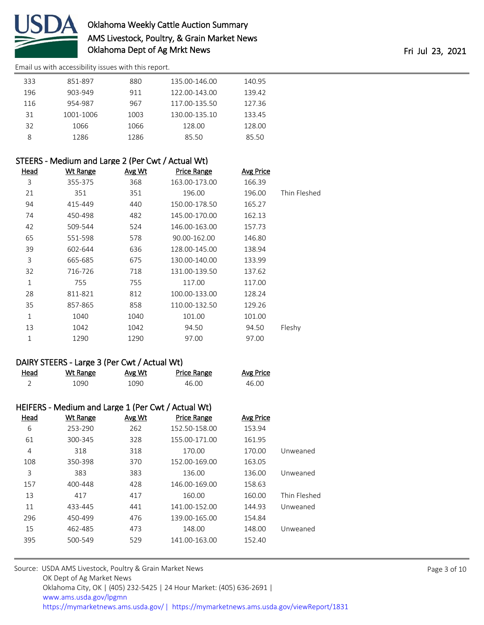

[Email us with accessibility issues with this report.](mailto:mars@ams.usda.gov?subject=508%20issue)

| 333 | 851-897   | 880  | 135.00-146.00 | 140.95 |  |
|-----|-----------|------|---------------|--------|--|
| 196 | 903-949   | 911  | 122.00-143.00 | 139.42 |  |
| 116 | 954-987   | 967  | 117.00-135.50 | 127.36 |  |
| 31  | 1001-1006 | 1003 | 130.00-135.10 | 133.45 |  |
| 32  | 1066      | 1066 | 128.00        | 128.00 |  |
|     | 1286      | 1286 | 85.50         | 85.50  |  |

| STEERS - Medium and Large 2 (Per Cwt / Actual Wt) |          |               |                    |                  |              |
|---------------------------------------------------|----------|---------------|--------------------|------------------|--------------|
| Head                                              | Wt Range | <u>Avg Wt</u> | <b>Price Range</b> | <b>Avg Price</b> |              |
| 3                                                 | 355-375  | 368           | 163.00-173.00      | 166.39           |              |
| 21                                                | 351      | 351           | 196.00             | 196.00           | Thin Fleshed |
| 94                                                | 415-449  | 440           | 150.00-178.50      | 165.27           |              |
| 74                                                | 450-498  | 482           | 145.00-170.00      | 162.13           |              |
| 42                                                | 509-544  | 524           | 146.00-163.00      | 157.73           |              |
| 65                                                | 551-598  | 578           | 90.00-162.00       | 146.80           |              |
| 39                                                | 602-644  | 636           | 128.00-145.00      | 138.94           |              |
| 3                                                 | 665-685  | 675           | 130.00-140.00      | 133.99           |              |
| 32                                                | 716-726  | 718           | 131.00-139.50      | 137.62           |              |
| 1                                                 | 755      | 755           | 117.00             | 117.00           |              |
| 28                                                | 811-821  | 812           | 100.00-133.00      | 128.24           |              |
| 35                                                | 857-865  | 858           | 110.00-132.50      | 129.26           |              |
| 1                                                 | 1040     | 1040          | 101.00             | 101.00           |              |
| 13                                                | 1042     | 1042          | 94.50              | 94.50            | Fleshy       |
| 1                                                 | 1290     | 1290          | 97.00              | 97.00            |              |
|                                                   |          |               |                    |                  |              |

### DAIRY STEERS - Large 3 (Per Cwt / Actual Wt)

| Head | Wt Range | <u>Avg Wt</u> | Price Range | <u>Avg Price</u> |
|------|----------|---------------|-------------|------------------|
|      | 1090     | 1090          | 46.00       | 46.00            |

| HEIFERS - Medium and Large 1 (Per Cwt / Actual Wt) |  |  |  |  |
|----------------------------------------------------|--|--|--|--|
|----------------------------------------------------|--|--|--|--|

| Head | Wt Range | Avg Wt | <b>Price Range</b> | Avg Price |              |
|------|----------|--------|--------------------|-----------|--------------|
| 6    | 253-290  | 262    | 152.50-158.00      | 153.94    |              |
| 61   | 300-345  | 328    | 155.00-171.00      | 161.95    |              |
| 4    | 318      | 318    | 170.00             | 170.00    | Unweaned     |
| 108  | 350-398  | 370    | 152.00-169.00      | 163.05    |              |
| 3    | 383      | 383    | 136.00             | 136.00    | Unweaned     |
| 157  | 400-448  | 428    | 146.00-169.00      | 158.63    |              |
| 13   | 417      | 417    | 160.00             | 160.00    | Thin Fleshed |
| 11   | 433-445  | 441    | 141.00-152.00      | 144.93    | Unweaned     |
| 296  | 450-499  | 476    | 139.00-165.00      | 154.84    |              |
| 15   | 462-485  | 473    | 148.00             | 148.00    | Unweaned     |
| 395  | 500-549  | 529    | 141.00-163.00      | 152.40    |              |
|      |          |        |                    |           |              |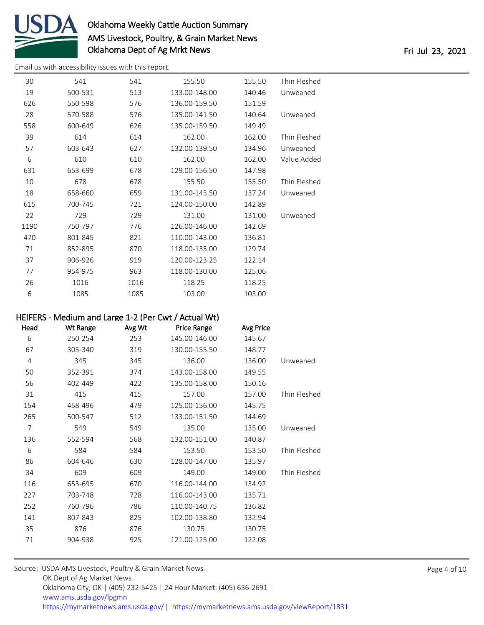

[Email us with accessibility issues with this report.](mailto:mars@ams.usda.gov?subject=508%20issue)

| 30   | 541     | 541  | 155.50        | 155.50 | Thin Fleshed |
|------|---------|------|---------------|--------|--------------|
| 19   | 500-531 | 513  | 133.00-148.00 | 140.46 | Unweaned     |
| 626  | 550-598 | 576  | 136.00-159.50 | 151.59 |              |
| 28   | 570-588 | 576  | 135.00-141.50 | 140.64 | Unweaned     |
| 558  | 600-649 | 626  | 135.00-159.50 | 149.49 |              |
| 39   | 614     | 614  | 162.00        | 162.00 | Thin Fleshed |
| 57   | 603-643 | 627  | 132.00-139.50 | 134.96 | Unweaned     |
| 6    | 610     | 610  | 162.00        | 162.00 | Value Added  |
| 631  | 653-699 | 678  | 129.00-156.50 | 147.98 |              |
| 10   | 678     | 678  | 155.50        | 155.50 | Thin Fleshed |
| 18   | 658-660 | 659  | 131.00-143.50 | 137.24 | Unweaned     |
| 615  | 700-745 | 721  | 124.00-150.00 | 142.89 |              |
| 22   | 729     | 729  | 131.00        | 131.00 | Unweaned     |
| 1190 | 750-797 | 776  | 126.00-146.00 | 142.69 |              |
| 470  | 801-845 | 821  | 110.00-143.00 | 136.81 |              |
| 71   | 852-895 | 870  | 118.00-135.00 | 129.74 |              |
| 37   | 906-926 | 919  | 120.00-123.25 | 122.14 |              |
| 77   | 954-975 | 963  | 118.00-130.00 | 125.06 |              |
| 26   | 1016    | 1016 | 118.25        | 118.25 |              |
| 6    | 1085    | 1085 | 103.00        | 103.00 |              |
|      |         |      |               |        |              |

## HEIFERS - Medium and Large 1-2 (Per Cwt / Actual Wt)

| Head | <b>Wt Range</b> | Avg Wt | <b>Price Range</b> | <b>Avg Price</b> |              |
|------|-----------------|--------|--------------------|------------------|--------------|
| 6    | 250-254         | 253    | 145.00-146.00      | 145.67           |              |
| 67   | 305-340         | 319    | 130.00-155.50      | 148.77           |              |
| 4    | 345             | 345    | 136.00             | 136.00           | Unweaned     |
| 50   | 352-391         | 374    | 143.00-158.00      | 149.55           |              |
| 56   | 402-449         | 422    | 135.00-158.00      | 150.16           |              |
| 31   | 415             | 415    | 157.00             | 157.00           | Thin Fleshed |
| 154  | 458-496         | 479    | 125.00-156.00      | 145.75           |              |
| 265  | 500-547         | 512    | 133.00-151.50      | 144.69           |              |
| 7    | 549             | 549    | 135.00             | 135.00           | Unweaned     |
| 136  | 552-594         | 568    | 132.00-151.00      | 140.87           |              |
| 6    | 584             | 584    | 153.50             | 153.50           | Thin Fleshed |
| 86   | 604-646         | 630    | 128.00-147.00      | 135.97           |              |
| 34   | 609             | 609    | 149.00             | 149.00           | Thin Fleshed |
| 116  | 653-695         | 670    | 116.00-144.00      | 134.92           |              |
| 227  | 703-748         | 728    | 116.00-143.00      | 135.71           |              |
| 252  | 760-796         | 786    | 110.00-140.75      | 136.82           |              |
| 141  | 807-843         | 825    | 102.00-138.80      | 132.94           |              |
| 35   | 876             | 876    | 130.75             | 130.75           |              |
| 71   | 904-938         | 925    | 121.00-125.00      | 122.08           |              |
|      |                 |        |                    |                  |              |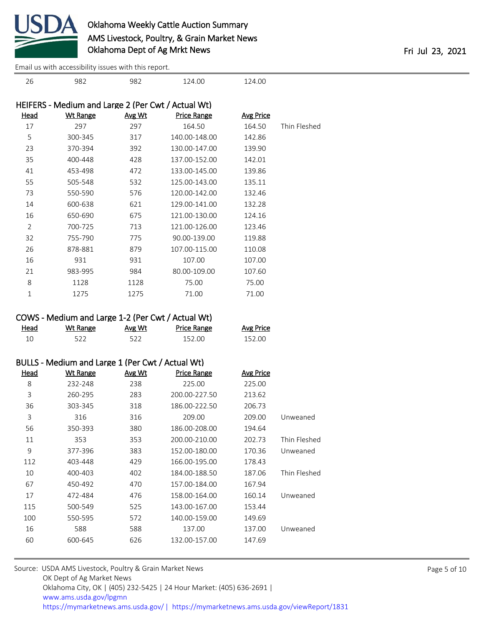

[Email us with accessibility issues with this report.](mailto:mars@ams.usda.gov?subject=508%20issue)

| 26             | 982                                                | 982    | 124.00             | 124.00           |              |
|----------------|----------------------------------------------------|--------|--------------------|------------------|--------------|
|                | HEIFERS - Medium and Large 2 (Per Cwt / Actual Wt) |        |                    |                  |              |
| <u>Head</u>    | <b>Wt Range</b>                                    | Avg Wt | <b>Price Range</b> | <b>Avg Price</b> |              |
| 17             | 297                                                | 297    | 164.50             | 164.50           | Thin Fleshed |
| 5              | 300-345                                            | 317    | 140.00-148.00      | 142.86           |              |
| 23             | 370-394                                            | 392    | 130.00-147.00      | 139.90           |              |
| 35             | 400-448                                            | 428    | 137.00-152.00      | 142.01           |              |
| 41             | 453-498                                            | 472    | 133.00-145.00      | 139.86           |              |
| 55             | 505-548                                            | 532    | 125.00-143.00      | 135.11           |              |
| 73             | 550-590                                            | 576    | 120.00-142.00      | 132.46           |              |
| 14             | 600-638                                            | 621    | 129.00-141.00      | 132.28           |              |
| 16             | 650-690                                            | 675    | 121.00-130.00      | 124.16           |              |
| $\overline{2}$ | 700-725                                            | 713    | 121.00-126.00      | 123.46           |              |
| 32             | 755-790                                            | 775    | 90.00-139.00       | 119.88           |              |
| 26             | 878-881                                            | 879    | 107.00-115.00      | 110.08           |              |
| 16             | 931                                                | 931    | 107.00             | 107.00           |              |
| 21             | 983-995                                            | 984    | 80.00-109.00       | 107.60           |              |
| 8              | 1128                                               | 1128   | 75.00              | 75.00            |              |
| $\mathbf{1}$   | 1275                                               | 1275   | 71.00              | 71.00            |              |
|                |                                                    |        |                    |                  |              |
|                | COWS - Medium and Large 1-2 (Per Cwt / Actual Wt)  |        |                    |                  |              |
| <b>Head</b>    | <b>Wt Range</b>                                    | Avg Wt | <b>Price Range</b> | <b>Avg Price</b> |              |
| 10             | 522                                                | 522    | 152.00             | 152.00           |              |
|                |                                                    |        |                    |                  |              |
|                | BULLS - Medium and Large 1 (Per Cwt / Actual Wt)   |        |                    |                  |              |
| <b>Head</b>    | <b>Wt Range</b>                                    | Avg Wt | <b>Price Range</b> | <b>Avg Price</b> |              |
| 8              | 232-248                                            | 238    | 225.00             | 225.00           |              |
| 3              | 260-295                                            | 283    | 200.00-227.50      | 213.62           |              |
| 36             | 303-345                                            | 318    | 186.00-222.50      | 206.73           |              |
| 3              | 316                                                | 316    | 209.00             | 209.00           | Unweaned     |
| 56             | 350-393                                            | 380    | 186.00-208.00      | 194.64           |              |
| 11             | 353                                                | 353    | 200.00-210.00      | 202.73           | Thin Fleshed |
| 9              | 377-396                                            | 383    | 152.00-180.00      | 170.36           | Unweaned     |
| 112            | 403-448                                            | 429    | 166.00-195.00      | 178.43           |              |
| 10             | 400-403                                            | 402    | 184.00-188.50      | 187.06           | Thin Fleshed |
| 67             | 450-492                                            | 470    | 157.00-184.00      | 167.94           |              |
| 17             | 472-484                                            | 476    | 158.00-164.00      | 160.14           | Unweaned     |
| 115            | 500-549                                            | 525    | 143.00-167.00      | 153.44           |              |
| 100            | 550-595                                            | 572    | 140.00-159.00      | 149.69           |              |
| 16             | 588                                                | 588    | 137.00             | 137.00           | Unweaned     |
| 60             | 600-645                                            | 626    | 132.00-157.00      | 147.69           |              |
|                |                                                    |        |                    |                  |              |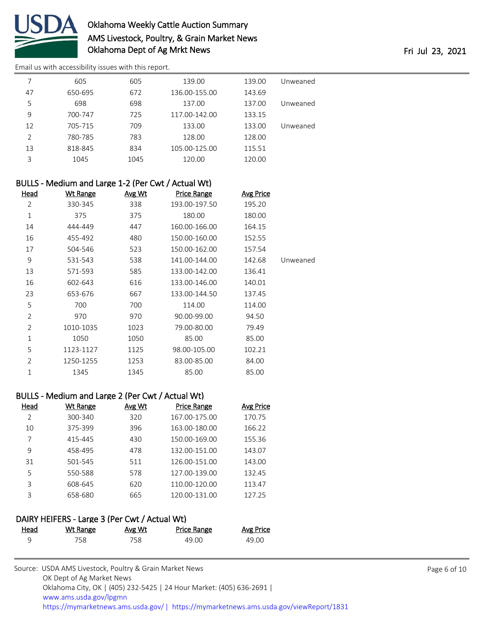

[Email us with accessibility issues with this report.](mailto:mars@ams.usda.gov?subject=508%20issue)

|    | 605     | 605  | 139.00        | 139.00 | Unweaned |
|----|---------|------|---------------|--------|----------|
| 47 | 650-695 | 672  | 136.00-155.00 | 143.69 |          |
| 5  | 698     | 698  | 137.00        | 137.00 | Unweaned |
| 9  | 700-747 | 725  | 117.00-142.00 | 133.15 |          |
| 12 | 705-715 | 709  | 133.00        | 133.00 | Unweaned |
| 2  | 780-785 | 783  | 128.00        | 128.00 |          |
| 13 | 818-845 | 834  | 105.00-125.00 | 115.51 |          |
| 3  | 1045    | 1045 | 120.00        | 120.00 |          |

| BULLS - Medium and Large 1-2 (Per Cwt / Actual Wt) |                 |        |                    |                  |          |  |  |  |
|----------------------------------------------------|-----------------|--------|--------------------|------------------|----------|--|--|--|
| <u>Head</u>                                        | <b>Wt Range</b> | Avg Wt | <b>Price Range</b> | <b>Avg Price</b> |          |  |  |  |
| 2                                                  | 330-345         | 338    | 193.00-197.50      | 195.20           |          |  |  |  |
| 1                                                  | 375             | 375    | 180.00             | 180.00           |          |  |  |  |
| 14                                                 | 444-449         | 447    | 160.00-166.00      | 164.15           |          |  |  |  |
| 16                                                 | 455-492         | 480    | 150.00-160.00      | 152.55           |          |  |  |  |
| 17                                                 | 504-546         | 523    | 150.00-162.00      | 157.54           |          |  |  |  |
| 9                                                  | 531-543         | 538    | 141.00-144.00      | 142.68           | Unweaned |  |  |  |
| 13                                                 | 571-593         | 585    | 133.00-142.00      | 136.41           |          |  |  |  |
| 16                                                 | 602-643         | 616    | 133.00-146.00      | 140.01           |          |  |  |  |
| 23                                                 | 653-676         | 667    | 133.00-144.50      | 137.45           |          |  |  |  |
| 5                                                  | 700             | 700    | 114.00             | 114.00           |          |  |  |  |
| $\overline{2}$                                     | 970             | 970    | 90.00-99.00        | 94.50            |          |  |  |  |
| 2                                                  | 1010-1035       | 1023   | 79.00-80.00        | 79.49            |          |  |  |  |
| 1                                                  | 1050            | 1050   | 85.00              | 85.00            |          |  |  |  |
| 5                                                  | 1123-1127       | 1125   | 98.00-105.00       | 102.21           |          |  |  |  |
| $\overline{2}$                                     | 1250-1255       | 1253   | 83.00-85.00        | 84.00            |          |  |  |  |
| 1                                                  | 1345            | 1345   | 85.00              | 85.00            |          |  |  |  |

### BULLS - Medium and Large 2 (Per Cwt / Actual Wt)

| Head          | Wt Range | Avg Wt | Price Range   | <b>Avg Price</b> |
|---------------|----------|--------|---------------|------------------|
| $\mathcal{P}$ | 300-340  | 320    | 167.00-175.00 | 170.75           |
| 10            | 375-399  | 396    | 163.00-180.00 | 166.22           |
| 7             | 415-445  | 430    | 150.00-169.00 | 155.36           |
| 9             | 458-495  | 478    | 132.00-151.00 | 143.07           |
| 31            | 501-545  | 511    | 126.00-151.00 | 143.00           |
| 5             | 550-588  | 578    | 127.00-139.00 | 132.45           |
| ς             | 608-645  | 620    | 110.00-120.00 | 113.47           |
| ς             | 658-680  | 665    | 120.00-131.00 | 127.25           |

### DAIRY HEIFERS - Large 3 (Per Cwt / Actual Wt)

| <u>Head</u> | Wt Range | Avg Wt | <b>Price Range</b> | <b>Avg Price</b> |
|-------------|----------|--------|--------------------|------------------|
|             | 758.     | 758.   | 49.00              | 49.00            |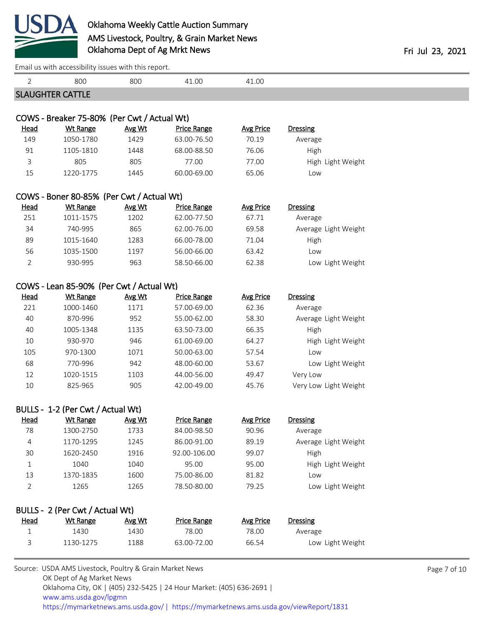

[Email us with accessibility issues with this report.](mailto:mars@ams.usda.gov?subject=508%20issue)

| 2              | 800                                                     | 800    | 41.00              | 41.00            |                       |              |
|----------------|---------------------------------------------------------|--------|--------------------|------------------|-----------------------|--------------|
|                | <b>SLAUGHTER CATTLE</b>                                 |        |                    |                  |                       |              |
|                |                                                         |        |                    |                  |                       |              |
|                | COWS - Breaker 75-80% (Per Cwt / Actual Wt)             |        |                    |                  |                       |              |
| <u>Head</u>    | <b>Wt Range</b>                                         | Avg Wt | <b>Price Range</b> | <b>Avg Price</b> | <b>Dressing</b>       |              |
| 149            | 1050-1780                                               | 1429   | 63.00-76.50        | 70.19            | Average               |              |
| 91             | 1105-1810                                               | 1448   | 68.00-88.50        | 76.06            | High                  |              |
| 3              | 805                                                     | 805    | 77.00              | 77.00            | High Light Weight     |              |
| 15             | 1220-1775                                               | 1445   | 60.00-69.00        | 65.06            | Low                   |              |
|                | COWS - Boner 80-85% (Per Cwt / Actual Wt)               |        |                    |                  |                       |              |
| <b>Head</b>    | <b>Wt Range</b>                                         | Avg Wt | <b>Price Range</b> | <b>Avg Price</b> | <b>Dressing</b>       |              |
| 251            | 1011-1575                                               | 1202   | 62.00-77.50        | 67.71            | Average               |              |
| 34             | 740-995                                                 | 865    | 62.00-76.00        | 69.58            | Average Light Weight  |              |
| 89             | 1015-1640                                               | 1283   | 66.00-78.00        | 71.04            | High                  |              |
| 56             | 1035-1500                                               | 1197   | 56.00-66.00        | 63.42            | Low                   |              |
| $\overline{2}$ | 930-995                                                 | 963    | 58.50-66.00        | 62.38            | Low Light Weight      |              |
|                |                                                         |        |                    |                  |                       |              |
|                | COWS - Lean 85-90% (Per Cwt / Actual Wt)                |        |                    |                  |                       |              |
| <u>Head</u>    | <b>Wt Range</b>                                         | Avg Wt | <b>Price Range</b> | <b>Avg Price</b> | <b>Dressing</b>       |              |
| 221            | 1000-1460                                               | 1171   | 57.00-69.00        | 62.36            | Average               |              |
| 40             | 870-996                                                 | 952    | 55.00-62.00        | 58.30            | Average Light Weight  |              |
| 40             | 1005-1348                                               | 1135   | 63.50-73.00        | 66.35            | High                  |              |
| 10             | 930-970                                                 | 946    | 61.00-69.00        | 64.27            | High Light Weight     |              |
| 105            | 970-1300                                                | 1071   | 50.00-63.00        | 57.54            | Low                   |              |
| 68             | 770-996                                                 | 942    | 48.00-60.00        | 53.67            | Low Light Weight      |              |
| 12             | 1020-1515                                               | 1103   | 44.00-56.00        | 49.47            | Very Low              |              |
| 10             | 825-965                                                 | 905    | 42.00-49.00        | 45.76            | Very Low Light Weight |              |
|                | BULLS - 1-2 (Per Cwt / Actual Wt)                       |        |                    |                  |                       |              |
| <u>Head</u>    | <b>Wt Range</b>                                         | Avg Wt | <b>Price Range</b> | <b>Avg Price</b> | Dressing              |              |
| 78             | 1300-2750                                               | 1733   | 84.00-98.50        | 90.96            | Average               |              |
| 4              | 1170-1295                                               | 1245   | 86.00-91.00        | 89.19            | Average Light Weight  |              |
| 30             | 1620-2450                                               | 1916   | 92.00-106.00       | 99.07            | High                  |              |
| 1              | 1040                                                    | 1040   | 95.00              | 95.00            | High Light Weight     |              |
| 13             | 1370-1835                                               | 1600   | 75.00-86.00        | 81.82            | Low                   |              |
| 2              | 1265                                                    | 1265   | 78.50-80.00        | 79.25            | Low Light Weight      |              |
|                |                                                         |        |                    |                  |                       |              |
|                | BULLS - 2 (Per Cwt / Actual Wt)                         |        |                    |                  |                       |              |
| Head           | <b>Wt Range</b>                                         | Avg Wt | <b>Price Range</b> | <b>Avg Price</b> | <b>Dressing</b>       |              |
| $\mathbf{1}$   | 1430                                                    | 1430   | 78.00              | 78.00            | Average               |              |
| 3              | 1130-1275                                               | 1188   | 63.00-72.00        | 66.54            | Low Light Weight      |              |
|                |                                                         |        |                    |                  |                       |              |
|                | Source: USDA AMS Livestock, Poultry & Grain Market News |        |                    |                  |                       | Page 7 of 10 |
|                | OK Dept of Ag Market News                               |        |                    |                  |                       |              |

 Oklahoma City, OK | (405) 232-5425 | 24 Hour Market: (405) 636-2691 | [www.ams.usda.gov/lpgmn](https://www.ams.usda.gov/market-news) <https://mymarketnews.ams.usda.gov/> [|](https://www.ams.usda.gov/market-news) <https://mymarketnews.ams.usda.gov/viewReport/1831>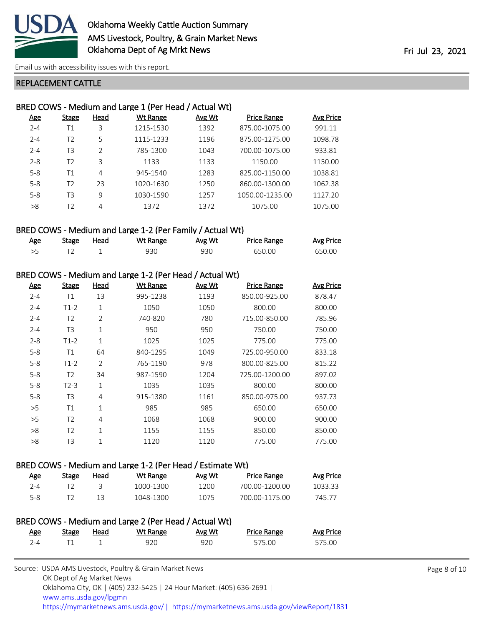

[Email us with accessibility issues with this report.](mailto:mars@ams.usda.gov?subject=508%20issue)

#### REPLACEMENT CATTLE

| BRED COWS - Medium and Large 1 (Per Head / Actual Wt) |                |      |                 |        |                    |           |  |
|-------------------------------------------------------|----------------|------|-----------------|--------|--------------------|-----------|--|
| <u>Age</u>                                            | Stage          | Head | <b>Wt Range</b> | Avg Wt | <b>Price Range</b> | Avg Price |  |
| $2 - 4$                                               | Τ1             | 3    | 1215-1530       | 1392   | 875.00-1075.00     | 991.11    |  |
| $2 - 4$                                               | T <sub>2</sub> | 5    | 1115-1233       | 1196   | 875.00-1275.00     | 1098.78   |  |
| $2 - 4$                                               | T3             | C    | 785-1300        | 1043   | 700.00-1075.00     | 933.81    |  |
| $2 - 8$                                               | T <sub>2</sub> | 3    | 1133            | 1133   | 1150.00            | 1150.00   |  |
| $5 - 8$                                               | Τ1             | 4    | 945-1540        | 1283   | 825.00-1150.00     | 1038.81   |  |
| $5 - 8$                                               | T <sub>2</sub> | 23   | 1020-1630       | 1250   | 860.00-1300.00     | 1062.38   |  |
| $5 - 8$                                               | T3             | 9    | 1030-1590       | 1257   | 1050.00-1235.00    | 1127.20   |  |
| >8                                                    | T2             | 4    | 1372            | 1372   | 1075.00            | 1075.00   |  |
|                                                       |                |      |                 |        |                    |           |  |

### BRED COWS - Medium and Large 1-2 (Per Family / Actual Wt)

| Age | Stage | Head | Wt Range | Avg Wt | <b>Price Range</b> | <b>Avg Price</b> |
|-----|-------|------|----------|--------|--------------------|------------------|
|     |       |      | 930      | 930    | 650.00             | 650.00           |

### BRED COWS - Medium and Large 1-2 (Per Head / Actual Wt)

| <u>Age</u> | <b>Stage</b>   | Head           | <b>Wt Range</b> | Avg Wt | <b>Price Range</b> | <b>Avg Price</b> |
|------------|----------------|----------------|-----------------|--------|--------------------|------------------|
| $2 - 4$    | Τ1             | 13             | 995-1238        | 1193   | 850.00-925.00      | 878.47           |
| $2 - 4$    | $T1-2$         | 1              | 1050            | 1050   | 800.00             | 800.00           |
| $2 - 4$    | T <sub>2</sub> | $\overline{2}$ | 740-820         | 780    | 715.00-850.00      | 785.96           |
| $2 - 4$    | T <sub>3</sub> | $\mathbf{1}$   | 950             | 950    | 750.00             | 750.00           |
| $2 - 8$    | $T1-2$         | 1              | 1025            | 1025   | 775.00             | 775.00           |
| $5 - 8$    | T1             | 64             | 840-1295        | 1049   | 725.00-950.00      | 833.18           |
| $5 - 8$    | $T1-2$         | $\overline{2}$ | 765-1190        | 978    | 800.00-825.00      | 815.22           |
| $5 - 8$    | T <sub>2</sub> | 34             | 987-1590        | 1204   | 725.00-1200.00     | 897.02           |
| $5 - 8$    | $T2-3$         | 1              | 1035            | 1035   | 800.00             | 800.00           |
| $5 - 8$    | T <sub>3</sub> | 4              | 915-1380        | 1161   | 850.00-975.00      | 937.73           |
| >5         | T1             | $\mathbf{1}$   | 985             | 985    | 650.00             | 650.00           |
| >5         | T <sub>2</sub> | 4              | 1068            | 1068   | 900.00             | 900.00           |
| >8         | T <sub>2</sub> | $\mathbf{1}$   | 1155            | 1155   | 850.00             | 850.00           |
| >8         | T3             | 1              | 1120            | 1120   | 775.00             | 775.00           |
|            |                |                |                 |        |                    |                  |

### BRED COWS - Medium and Large 1-2 (Per Head / Estimate Wt)

| <u>Age</u> | Stage | Head | Wt Range  | Avg Wt | <b>Price Range</b> | Avg Price |
|------------|-------|------|-----------|--------|--------------------|-----------|
| 7-4        |       |      | 1000-1300 | 1200   | 700 00-1200 00     | 1033.33   |
| 5-8        |       |      | 1048-1300 | 1075   | 700 00-1175 00     | 745 77    |

| BRED COWS - Medium and Large 2 (Per Head / Actual Wt) |       |      |          |        |                    |                  |  |
|-------------------------------------------------------|-------|------|----------|--------|--------------------|------------------|--|
| Age                                                   | Stage | Head | Wt Range | Avg Wt | <b>Price Range</b> | <b>Avg Price</b> |  |
| $7 - 4$                                               |       |      | 920.     | 920    | 575.00             | 575.00           |  |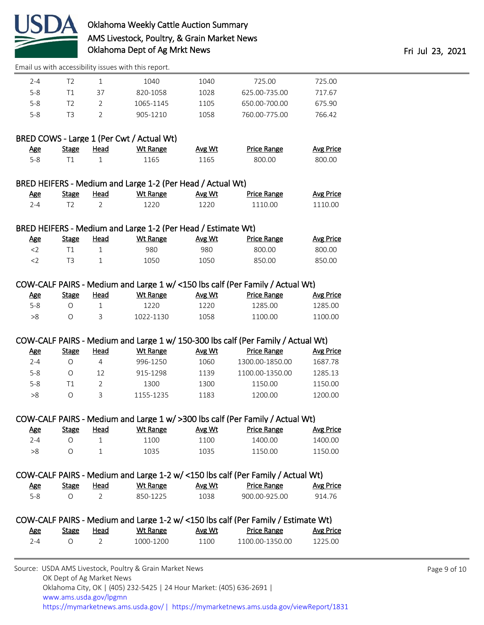

[Email us with accessibility issues with this report.](mailto:mars@ams.usda.gov?subject=508%20issue)

| $2 - 4$ | 12  |    | 1040      | 1040 | 725.00        | 725.00 |
|---------|-----|----|-----------|------|---------------|--------|
| $5 - 8$ | Τ1  | 37 | 820-1058  | 1028 | 625.00-735.00 | 717.67 |
| $5-8$   | 12  |    | 1065-1145 | 1105 | 650.00-700.00 | 675.90 |
| $5-8$   | TR. |    | 905-1210  | 1058 | 760.00-775.00 | 766.42 |
|         |     |    |           |      |               |        |

## BRED COWS - Large 1 (Per Cwt / Actual Wt)

| <u>Age</u> | <b>Stage</b> | <u>Head</u> | Wt Range | <b>Avg Wt</b> | <b>Price Range</b> | Avg Price |
|------------|--------------|-------------|----------|---------------|--------------------|-----------|
| 5-8        |              |             | 1165     | 1165          | 800.00             | 800.00    |

#### BRED HEIFERS - Medium and Large 1-2 (Per Head / Actual Wt)

| <u>Age</u> | Stage | Head | Wt Range | Avg Wt | <b>Price Range</b> | <u>Avg Price</u> |
|------------|-------|------|----------|--------|--------------------|------------------|
| ב-         |       |      | 220      | 1220   | 1110.00            | 1110.00          |

### BRED HEIFERS - Medium and Large 1-2 (Per Head / Estimate Wt)

| <u>Age</u> | Stage | Head | Wt Range | Avg Wt | <b>Price Range</b> | <b>Avg Price</b> |
|------------|-------|------|----------|--------|--------------------|------------------|
|            |       |      | 980      | 980    | 800.00             | 800.00           |
|            |       |      | 1050     | 1050   | 850.00             | 850.00           |

#### COW-CALF PAIRS - Medium and Large 1 w/ <150 lbs calf (Per Family / Actual Wt)

| <u>Age</u> | Stage | Head | Wt Range  | Avg Wt | Price Range | Avg Price |
|------------|-------|------|-----------|--------|-------------|-----------|
| 5-8        |       |      | 1220.     | 1220   | 1285.00     | 1285.00   |
| >8         |       |      | 1022-1130 | 1058   | 1100.00     | 1100.00   |

#### COW-CALF PAIRS - Medium and Large 1 w/ 150-300 lbs calf (Per Family / Actual Wt)

| <u>Age</u> | Stage | Head | Wt Range  | Avg Wt | <b>Price Range</b> | Avg Price |
|------------|-------|------|-----------|--------|--------------------|-----------|
| 2-4        |       |      | 996-1250  | 1060   | 1300.00-1850.00    | 1687.78   |
| $5 - 8$    |       | 12   | 915-1298  | 1139   | 1100.00-1350.00    | 1285.13   |
| $5 - 8$    |       |      | 1300      | 1300   | 1150.00            | 1150.00   |
| >8         |       |      | 1155-1235 | 1183   | 1200.00            | 1200.00   |

#### COW-CALF PAIRS - Medium and Large 1 w/ >300 lbs calf (Per Family / Actual Wt)

| <u>Age</u> | Stage | Head | Wt Range | Avg Wt | <b>Price Range</b> | Avg Price |
|------------|-------|------|----------|--------|--------------------|-----------|
| $2 - 4$    |       |      | 1100     | 1100   | 1400.00            | 1400.00   |
| >8         |       |      | 1035     | 1035   | 1150.00            | 1150.00   |

### COW-CALF PAIRS - Medium and Large 1-2 w/ <150 lbs calf (Per Family / Actual Wt)

| <u>Age</u> | Stage | Head | Wt Range | Avg Wt | <b>Price Range</b> | Avg Price |
|------------|-------|------|----------|--------|--------------------|-----------|
| $5 - 8$    |       |      | 850-1225 | 1038   | 900.00-925.00      | 914.76    |

|     |       |      |           |        | COW-CALF PAIRS - Medium and Large 1-2 w/ <150 lbs calf (Per Family / Estimate Wt) |           |
|-----|-------|------|-----------|--------|-----------------------------------------------------------------------------------|-----------|
| Age | Stage | Head | Wt Range  | Avg Wt | Price Range                                                                       | Avg Price |
| 7−4 |       |      | 1000-1200 | 1100   | 1100 00-1350 00                                                                   | 1225.00   |